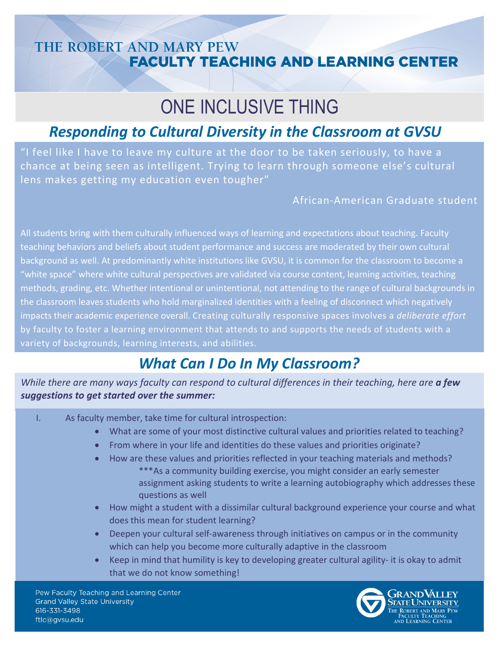### THE ROBERT AND MARY PEW **FACULTY TEACHING AND LEARNING CENTER**

# ONE INCLUSIVE THING

# *Responding to Cultural Diversity in the Classroom at GVSU*

"I feel like I have to leave my culture at the door to be taken seriously, to have a chance at being seen as intelligent. Trying to learn through someone else's cultural lens makes getting my education even tougher"

#### African-American Graduate student

All students bring with them culturally influenced ways of learning and expectations about teaching. Faculty teaching behaviors and beliefs about student performance and success are moderated by their own cultural background as well. At predominantly white institutions like GVSU, it is common for the classroom to become a "white space" where white cultural perspectives are validated via course content, learning activities, teaching methods, grading, etc. Whether intentional or unintentional, not attending to the range of cultural backgrounds in the classroom leaves students who hold marginalized identities with a feeling of disconnect which negatively impacts their academic experience overall. Creating culturally responsive spaces involves a *deliberate effort*  by faculty to foster a learning environment that attends to and supports the needs of students with a variety of backgrounds, learning interests, and abilities.

# *What Can I Do In My Classroom?*

*While there are many ways faculty can respond to cultural differences in their teaching, here are a few suggestions to get started over the summer:*

I. As faculty member, take time for cultural introspection:

- What are some of your most distinctive cultural values and priorities related to teaching?
- From where in your life and identities do these values and priorities originate?
- How are these values and priorities reflected in your teaching materials and methods? \*\*\*As a community building exercise, you might consider an early semester assignment asking students to write a learning autobiography which addresses these questions as well
- How might a student with a dissimilar cultural background experience your course and what does this mean for student learning?
- Deepen your cultural self-awareness through initiatives on campus or in the community which can help you become more culturally adaptive in the classroom
- Keep in mind that humility is key to developing greater cultural agility- it is okay to admit that we do not know something!